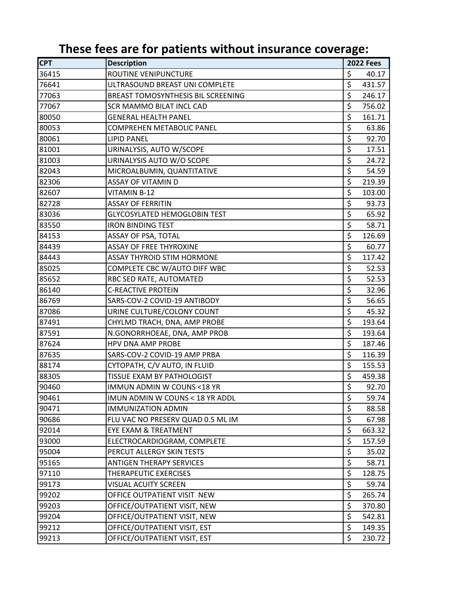| <b>CPT</b> | <b>Description</b>                  |                  | <b>2022 Fees</b> |
|------------|-------------------------------------|------------------|------------------|
| 36415      | ROUTINE VENIPUNCTURE                | \$               | 40.17            |
| 76641      | ULTRASOUND BREAST UNI COMPLETE      | \$               | 431.57           |
| 77063      | BREAST TOMOSYNTHESIS BIL SCREENING  | $\overline{\xi}$ | 246.17           |
| 77067      | SCR MAMMO BILAT INCL CAD            | $\overline{\xi}$ | 756.02           |
| 80050      | <b>GENERAL HEALTH PANEL</b>         | $\overline{\xi}$ | 161.71           |
| 80053      | COMPREHEN METABOLIC PANEL           | \$               | 63.86            |
| 80061      | <b>LIPID PANEL</b>                  | $\overline{\xi}$ | 92.70            |
| 81001      | URINALYSIS, AUTO W/SCOPE            | $\overline{\xi}$ | 17.51            |
| 81003      | URINALYSIS AUTO W/O SCOPE           | $\overline{\xi}$ | 24.72            |
| 82043      | MICROALBUMIN, QUANTITATIVE          | $\overline{\xi}$ | 54.59            |
| 82306      | <b>ASSAY OF VITAMIN D</b>           | $\overline{\xi}$ | 219.39           |
| 82607      | VITAMIN B-12                        | $\overline{\xi}$ | 103.00           |
| 82728      | <b>ASSAY OF FERRITIN</b>            | $\overline{\xi}$ | 93.73            |
| 83036      | <b>GLYCOSYLATED HEMOGLOBIN TEST</b> | $\overline{\xi}$ | 65.92            |
| 83550      | <b>IRON BINDING TEST</b>            | \$               | 58.71            |
| 84153      | <b>ASSAY OF PSA, TOTAL</b>          | $\overline{\xi}$ | 126.69           |
| 84439      | <b>ASSAY OF FREE THYROXINE</b>      | $\overline{\xi}$ | 60.77            |
| 84443      | <b>ASSAY THYROID STIM HORMONE</b>   | $\overline{\xi}$ | 117.42           |
| 85025      | COMPLETE CBC W/AUTO DIFF WBC        | $\overline{\xi}$ | 52.53            |
| 85652      | RBC SED RATE, AUTOMATED             | $\overline{\xi}$ | 52.53            |
| 86140      | <b>C-REACTIVE PROTEIN</b>           | $\overline{\xi}$ | 32.96            |
| 86769      | SARS-COV-2 COVID-19 ANTIBODY        | $\overline{\xi}$ | 56.65            |
| 87086      | URINE CULTURE/COLONY COUNT          | $\overline{\xi}$ | 45.32            |
| 87491      | CHYLMD TRACH, DNA, AMP PROBE        | $\overline{\xi}$ | 193.64           |
| 87591      | N.GONORRHOEAE, DNA, AMP PROB        | $\overline{\xi}$ | 193.64           |
| 87624      | HPV DNA AMP PROBE                   | $\overline{\xi}$ | 187.46           |
| 87635      | SARS-COV-2 COVID-19 AMP PRBA        | $\overline{\xi}$ | 116.39           |
| 88174      | CYTOPATH, C/V AUTO, IN FLUID        | \$               | 155.53           |
| 88305      | TISSUE EXAM BY PATHOLOGIST          | \$               | 459.38           |
| 90460      | IMMUN ADMIN W COUNS < 18 YR         | $\overline{\xi}$ | 92.70            |
| 90461      | IMUN ADMIN W COUNS < 18 YR ADDL     | \$               | 59.74            |
| 90471      | <b>IMMUNIZATION ADMIN</b>           | \$               | 88.58            |
| 90686      | FLU VAC NO PRESERV QUAD 0.5 ML IM   | $\overline{\xi}$ | 67.98            |
| 92014      | <b>EYE EXAM &amp; TREATMENT</b>     | \$               | 663.32           |
| 93000      | ELECTROCARDIOGRAM, COMPLETE         | $\overline{\xi}$ | 157.59           |
| 95004      | PERCUT ALLERGY SKIN TESTS           | $\overline{\xi}$ | 35.02            |
| 95165      | <b>ANTIGEN THERAPY SERVICES</b>     | \$               | 58.71            |
| 97110      | THERAPEUTIC EXERCISES               | $\overline{\xi}$ | 128.75           |
| 99173      | <b>VISUAL ACUITY SCREEN</b>         | \$               | 59.74            |
| 99202      | OFFICE OUTPATIENT VISIT NEW         | \$               | 265.74           |
| 99203      | OFFICE/OUTPATIENT VISIT, NEW        | \$               | 370.80           |
| 99204      | OFFICE/OUTPATIENT VISIT, NEW        | \$               | 542.81           |
| 99212      | OFFICE/OUTPATIENT VISIT, EST        | $\overline{\xi}$ | 149.35           |
| 99213      | OFFICE/OUTPATIENT VISIT, EST        | \$               | 230.72           |

## **These fees are for patients without insurance coverage:**